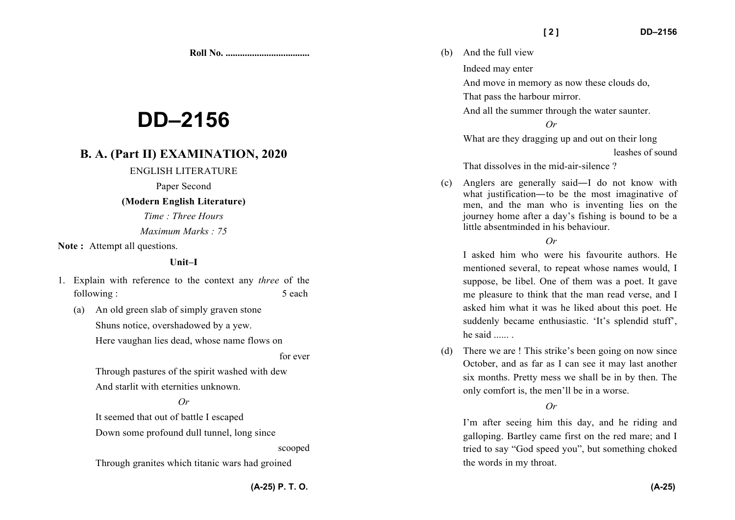**Roll No. ...................................** 

# **DD–2156**

# **B. A. (Part II) EXAMINATION, 2020**

#### ENGLISH LITERATURE

Paper Second

## **(Modern English Literature)**

*Time : Three Hours Maximum Marks : 75*

Note: Attempt all questions.

#### **Unit–I**

- 1. Explain with reference to the context any *three* of the following : 5 each 5 and 5 and 5 and 5 and 5 and 5 and 5 and 5 and 5 and 5 and 5 and 5 and 5 and 5 and 5 and 5 and 5 and 5 and 5 and 5 and 5 and 5 and 5 and 5 and 5 and 5 and 5 and 5 and 5 and 5 and 5 and 5 and 5 and 5 and
	- (a) An old green slab of simply graven stone Shuns notice, overshadowed by a yew. Here vaughan lies dead, whose name flows on

for ever

Through pastures of the spirit washed with dew And starlit with eternities unknown.

# *Or*

It seemed that out of battle I escaped

Down some profound dull tunnel, long since

scooped

Through granites which titanic wars had groined

(b) And the full view

Indeed may enter

And move in memory as now these clouds do,

That pass the harbour mirror.

And all the summer through the water saunter.

*Or* 

What are they dragging up and out on their long

leashes of sound

That dissolves in the mid-air-silence ?

(c) Anglers are generally said—I do not know with what justification—to be the most imaginative of men, and the man who is inventing lies on the journey home after a day's fishing is bound to be alittle absentminded in his behaviour.

# $Q_r$

I asked him who were his favourite authors. He mentioned several, to repeat whose names would, I suppose, be libel. One of them was a poet. It gave me pleasure to think that the man read verse, and Iasked him what it was he liked about this poet. He suddenly became enthusiastic. 'It's splendid stuff', he said ...... .

(d) There we are ! This strike's been going on now since October, and as far as I can see it may last another six months. Pretty mess we shall be in by then. Theonly comfort is, the men'll be in a worse.

# *Or*

I'm after seeing him this day, and he riding and galloping. Bartley came first on the red mare; and I tried to say "God speed you", but something choked the words in my throat.